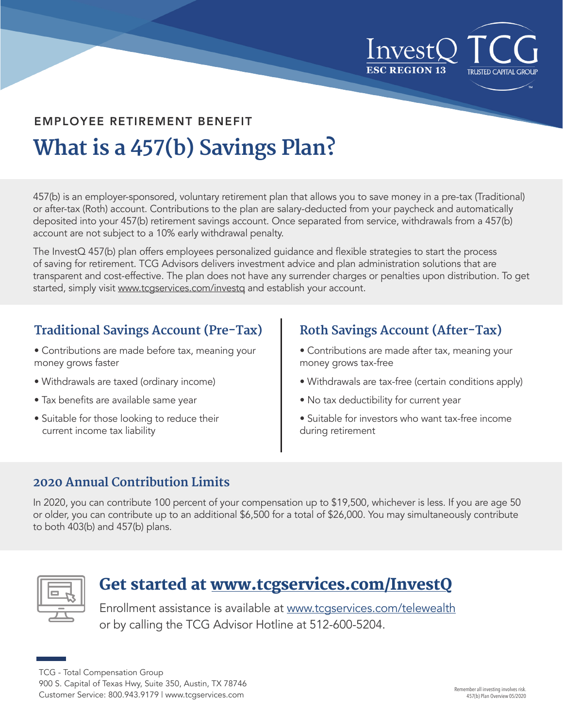

## **What is a 457(b) Savings Plan?** EMPLOYEE RETIREMENT BENEFIT

457(b) is an employer-sponsored, voluntary retirement plan that allows you to save money in a pre-tax (Traditional) or after-tax (Roth) account. Contributions to the plan are salary-deducted from your paycheck and automatically deposited into your 457(b) retirement savings account. Once separated from service, withdrawals from a 457(b) account are not subject to a 10% early withdrawal penalty.

The InvestQ 457(b) plan offers employees personalized guidance and flexible strategies to start the process of saving for retirement. TCG Advisors delivers investment advice and plan administration solutions that are transparent and cost-effective. The plan does not have any surrender charges or penalties upon distribution. To get started, simply visit www.tcgservices.com/investq and establish your account.

#### **Traditional Savings Account (Pre-Tax)**

- Contributions are made before tax, meaning your money grows faster
- Withdrawals are taxed (ordinary income)
- Tax benefits are available same year
- Suitable for those looking to reduce their current income tax liability

#### **Roth Savings Account (After-Tax)**

- Contributions are made after tax, meaning your money grows tax-free
- Withdrawals are tax-free (certain conditions apply)
- No tax deductibility for current year
- Suitable for investors who want tax-free income during retirement

#### **2020 Annual Contribution Limits**

In 2020, you can contribute 100 percent of your compensation up to \$19,500, whichever is less. If you are age 50 or older, you can contribute up to an additional \$6,500 for a total of \$26,000. You may simultaneously contribute to both 403(b) and 457(b) plans.



### Get started at www.tcgservices.com/InvestQ

Enrollment assistance is available at [www.tcgservices.com/telewealth](http://www.tcgservices.com/telewealth?utm_medium=referral&utm_source=care-act-flyer&utm_campaign=general-care-act-ppt-flyer) or by calling the TCG Advisor Hotline at 512-600-5204.